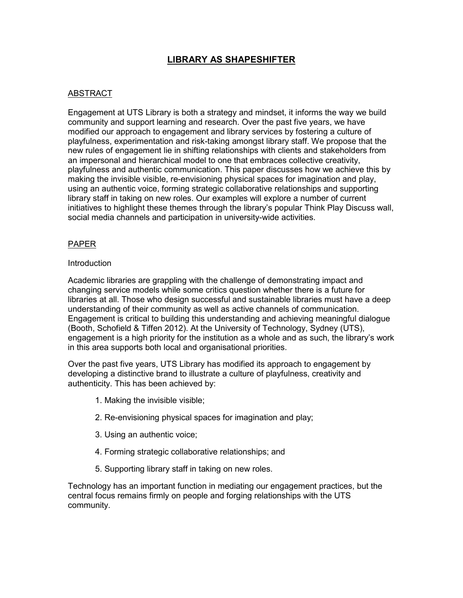# **LIBRARY AS SHAPESHIFTER**

# ABSTRACT

Engagement at UTS Library is both a strategy and mindset, it informs the way we build community and support learning and research. Over the past five years, we have modified our approach to engagement and library services by fostering a culture of playfulness, experimentation and risk-taking amongst library staff. We propose that the new rules of engagement lie in shifting relationships with clients and stakeholders from an impersonal and hierarchical model to one that embraces collective creativity, playfulness and authentic communication. This paper discusses how we achieve this by making the invisible visible, re-envisioning physical spaces for imagination and play, using an authentic voice, forming strategic collaborative relationships and supporting library staff in taking on new roles. Our examples will explore a number of current initiatives to highlight these themes through the library's popular Think Play Discuss wall, social media channels and participation in university-wide activities.

## PAPER

#### **Introduction**

Academic libraries are grappling with the challenge of demonstrating impact and changing service models while some critics question whether there is a future for libraries at all. Those who design successful and sustainable libraries must have a deep understanding of their community as well as active channels of communication. Engagement is critical to building this understanding and achieving meaningful dialogue (Booth, Schofield & Tiffen 2012). At the University of Technology, Sydney (UTS), engagement is a high priority for the institution as a whole and as such, the library's work in this area supports both local and organisational priorities.

Over the past five years, UTS Library has modified its approach to engagement by developing a distinctive brand to illustrate a culture of playfulness, creativity and authenticity. This has been achieved by:

- 1. Making the invisible visible;
- 2. Re-envisioning physical spaces for imagination and play;
- 3. Using an authentic voice;
- 4. Forming strategic collaborative relationships; and
- 5. Supporting library staff in taking on new roles.

Technology has an important function in mediating our engagement practices, but the central focus remains firmly on people and forging relationships with the UTS community.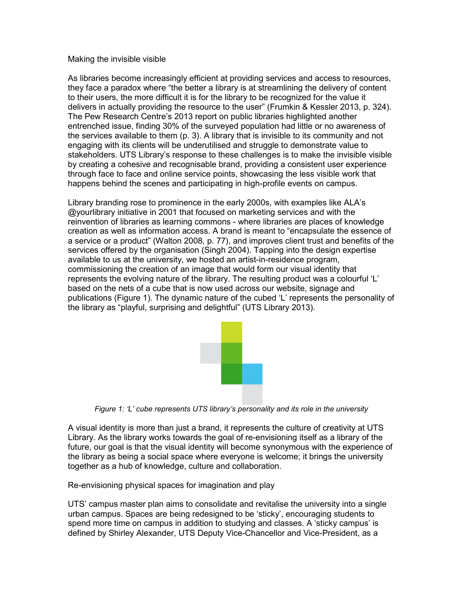#### Making the invisible visible

As libraries become increasingly efficient at providing services and access to resources, they face a paradox where "the better a library is at streamlining the delivery of content to their users, the more difficult it is for the library to be recognized for the value it delivers in actually providing the resource to the user" (Frumkin & Kessler 2013, p. 324). The Pew Research Centre's 2013 report on public libraries highlighted another entrenched issue, finding 30% of the surveyed population had little or no awareness of the services available to them (p. 3). A library that is invisible to its community and not engaging with its clients will be underutilised and struggle to demonstrate value to stakeholders. UTS Library's response to these challenges is to make the invisible visible by creating a cohesive and recognisable brand, providing a consistent user experience through face to face and online service points, showcasing the less visible work that happens behind the scenes and participating in high-profile events on campus.

Library branding rose to prominence in the early 2000s, with examples like ALA's @yourlibrary initiative in 2001 that focused on marketing services and with the reinvention of libraries as learning commons - where libraries are places of knowledge creation as well as information access. A brand is meant to "encapsulate the essence of a service or a product" (Walton 2008, p. 77), and improves client trust and benefits of the services offered by the organisation (Singh 2004). Tapping into the design expertise available to us at the university, we hosted an artist-in-residence program, commissioning the creation of an image that would form our visual identity that represents the evolving nature of the library. The resulting product was a colourful 'L' based on the nets of a cube that is now used across our website, signage and publications (Figure 1). The dynamic nature of the cubed 'L' represents the personality of the library as "playful, surprising and delightful" (UTS Library 2013).



*Figure 1: 'L' cube represents UTS library's personality and its role in the university*

A visual identity is more than just a brand, it represents the culture of creativity at UTS Library. As the library works towards the goal of re-envisioning itself as a library of the future, our goal is that the visual identity will become synonymous with the experience of the library as being a social space where everyone is welcome; it brings the university together as a hub of knowledge, culture and collaboration.

Re-envisioning physical spaces for imagination and play

UTS' campus master plan aims to consolidate and revitalise the university into a single urban campus. Spaces are being redesigned to be 'sticky', encouraging students to spend more time on campus in addition to studying and classes. A 'sticky campus' is defined by Shirley Alexander, UTS Deputy Vice-Chancellor and Vice-President, as a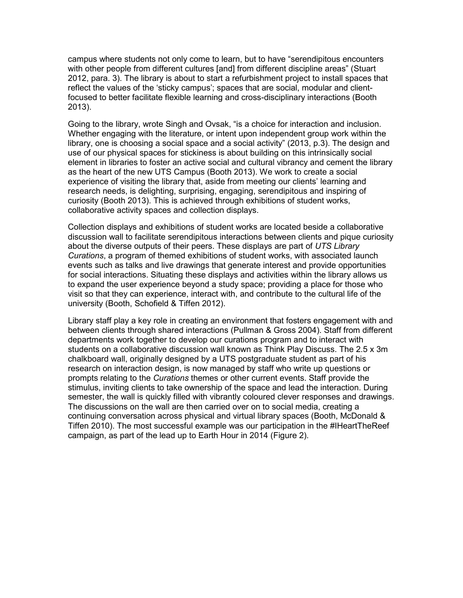campus where students not only come to learn, but to have "serendipitous encounters with other people from different cultures [and] from different discipline areas" (Stuart 2012, para. 3). The library is about to start a refurbishment project to install spaces that reflect the values of the 'sticky campus'; spaces that are social, modular and clientfocused to better facilitate flexible learning and cross-disciplinary interactions (Booth 2013).

Going to the library, wrote Singh and Ovsak, "is a choice for interaction and inclusion. Whether engaging with the literature, or intent upon independent group work within the library, one is choosing a social space and a social activity" (2013, p.3). The design and use of our physical spaces for stickiness is about building on this intrinsically social element in libraries to foster an active social and cultural vibrancy and cement the library as the heart of the new UTS Campus (Booth 2013). We work to create a social experience of visiting the library that, aside from meeting our clients' learning and research needs, is delighting, surprising, engaging, serendipitous and inspiring of curiosity (Booth 2013). This is achieved through exhibitions of student works, collaborative activity spaces and collection displays.

Collection displays and exhibitions of student works are located beside a collaborative discussion wall to facilitate serendipitous interactions between clients and pique curiosity about the diverse outputs of their peers. These displays are part of *UTS Library Curations*, a program of themed exhibitions of student works, with associated launch events such as talks and live drawings that generate interest and provide opportunities for social interactions. Situating these displays and activities within the library allows us to expand the user experience beyond a study space; providing a place for those who visit so that they can experience, interact with, and contribute to the cultural life of the university (Booth, Schofield & Tiffen 2012).

Library staff play a key role in creating an environment that fosters engagement with and between clients through shared interactions (Pullman & Gross 2004). Staff from different departments work together to develop our curations program and to interact with students on a collaborative discussion wall known as Think Play Discuss. The 2.5 x 3m chalkboard wall, originally designed by a UTS postgraduate student as part of his research on interaction design, is now managed by staff who write up questions or prompts relating to the *Curations* themes or other current events. Staff provide the stimulus, inviting clients to take ownership of the space and lead the interaction. During semester, the wall is quickly filled with vibrantly coloured clever responses and drawings. The discussions on the wall are then carried over on to social media, creating a continuing conversation across physical and virtual library spaces (Booth, McDonald & Tiffen 2010). The most successful example was our participation in the #IHeartTheReef campaign, as part of the lead up to Earth Hour in 2014 (Figure 2).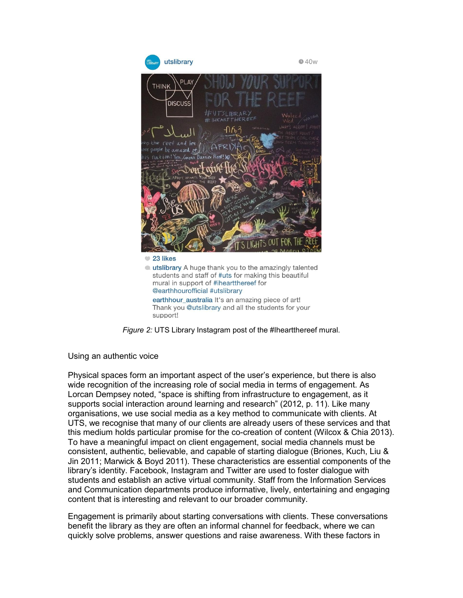

*Figure 2:* UTS Library Instagram post of the #Iheartthereef mural.

Using an authentic voice

Physical spaces form an important aspect of the user's experience, but there is also wide recognition of the increasing role of social media in terms of engagement. As Lorcan Dempsey noted, "space is shifting from infrastructure to engagement, as it supports social interaction around learning and research" (2012, p. 11). Like many organisations, we use social media as a key method to communicate with clients. At UTS, we recognise that many of our clients are already users of these services and that this medium holds particular promise for the co-creation of content (Wilcox & Chia 2013). To have a meaningful impact on client engagement, social media channels must be consistent, authentic, believable, and capable of starting dialogue (Briones, Kuch, Liu & Jin 2011; Marwick & Boyd 2011). These characteristics are essential components of the library's identity. Facebook, Instagram and Twitter are used to foster dialogue with students and establish an active virtual community. Staff from the Information Services and Communication departments produce informative, lively, entertaining and engaging content that is interesting and relevant to our broader community.

Engagement is primarily about starting conversations with clients. These conversations benefit the library as they are often an informal channel for feedback, where we can quickly solve problems, answer questions and raise awareness. With these factors in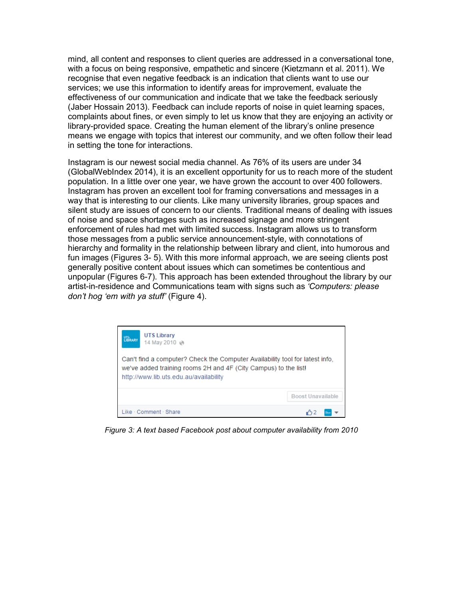mind, all content and responses to client queries are addressed in a conversational tone, with a focus on being responsive, empathetic and sincere (Kietzmann et al. 2011). We recognise that even negative feedback is an indication that clients want to use our services; we use this information to identify areas for improvement, evaluate the effectiveness of our communication and indicate that we take the feedback seriously (Jaber Hossain 2013). Feedback can include reports of noise in quiet learning spaces, complaints about fines, or even simply to let us know that they are enjoying an activity or library-provided space. Creating the human element of the library's online presence means we engage with topics that interest our community, and we often follow their lead in setting the tone for interactions.

Instagram is our newest social media channel. As 76% of its users are under 34 (GlobalWebIndex 2014), it is an excellent opportunity for us to reach more of the student population. In a little over one year, we have grown the account to over 400 followers. Instagram has proven an excellent tool for framing conversations and messages in a way that is interesting to our clients. Like many university libraries, group spaces and silent study are issues of concern to our clients. Traditional means of dealing with issues of noise and space shortages such as increased signage and more stringent enforcement of rules had met with limited success. Instagram allows us to transform those messages from a public service announcement-style, with connotations of hierarchy and formality in the relationship between library and client, into humorous and fun images (Figures 3- 5). With this more informal approach, we are seeing clients post generally positive content about issues which can sometimes be contentious and unpopular (Figures 6-7). This approach has been extended throughout the library by our artist-in-residence and Communications team with signs such as *'Computers: please don't hog 'em with ya stuff'* (Figure 4).



*Figure 3: A text based Facebook post about computer availability from 2010*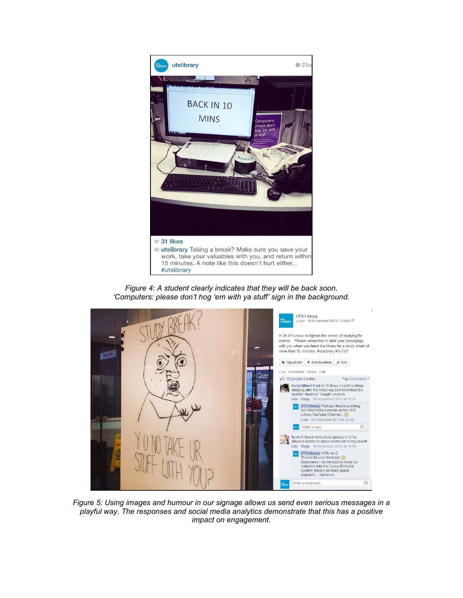

*Figure 4: A student clearly indicates that they will be back soon. 'Computers: please don't hog 'em with ya stuff' sign in the background.*



*Figure 5: Using images and humour in our signage allows us send even serious messages in a playful way. The responses and social media analytics demonstrate that this has a positive impact on engagement.*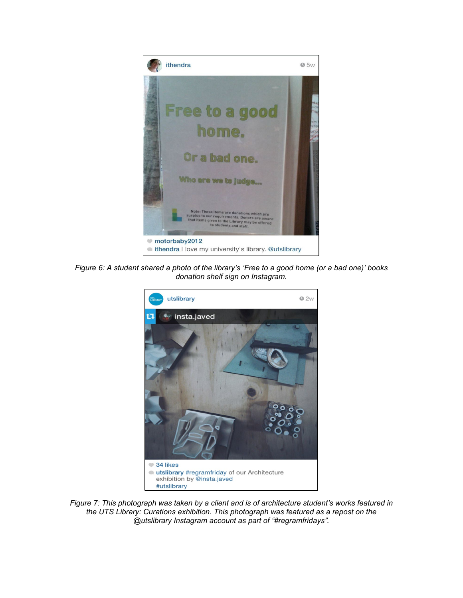

*Figure 6: A student shared a photo of the library's 'Free to a good home (or a bad one)' books donation shelf sign on Instagram.*



*Figure 7: This photograph was taken by a client and is of architecture student's works featured in the UTS Library: Curations exhibition. This photograph was featured as a repost on the @utslibrary Instagram account as part of "#regramfridays".*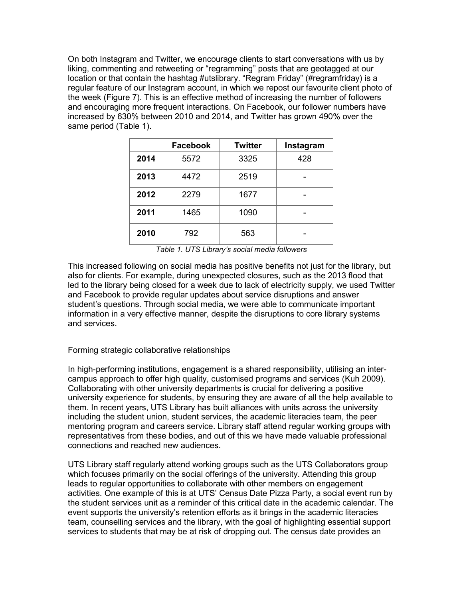On both Instagram and Twitter, we encourage clients to start conversations with us by liking, commenting and retweeting or "regramming" posts that are geotagged at our location or that contain the hashtag #utslibrary. "Regram Friday" (#regramfriday) is a regular feature of our Instagram account, in which we repost our favourite client photo of the week (Figure 7). This is an effective method of increasing the number of followers and encouraging more frequent interactions. On Facebook, our follower numbers have increased by 630% between 2010 and 2014, and Twitter has grown 490% over the same period (Table 1).

|      | <b>Facebook</b> | <b>Twitter</b> | Instagram |
|------|-----------------|----------------|-----------|
| 2014 | 5572            | 3325           | 428       |
| 2013 | 4472            | 2519           |           |
| 2012 | 2279            | 1677           |           |
| 2011 | 1465            | 1090           |           |
| 2010 | 792             | 563            |           |

*Table 1. UTS Library's social media followers*

This increased following on social media has positive benefits not just for the library, but also for clients. For example, during unexpected closures, such as the 2013 flood that led to the library being closed for a week due to lack of electricity supply, we used Twitter and Facebook to provide regular updates about service disruptions and answer student's questions. Through social media, we were able to communicate important information in a very effective manner, despite the disruptions to core library systems and services.

## Forming strategic collaborative relationships

In high-performing institutions, engagement is a shared responsibility, utilising an intercampus approach to offer high quality, customised programs and services (Kuh 2009). Collaborating with other university departments is crucial for delivering a positive university experience for students, by ensuring they are aware of all the help available to them. In recent years, UTS Library has built alliances with units across the university including the student union, student services, the academic literacies team, the peer mentoring program and careers service. Library staff attend regular working groups with representatives from these bodies, and out of this we have made valuable professional connections and reached new audiences.

UTS Library staff regularly attend working groups such as the UTS Collaborators group which focuses primarily on the social offerings of the university. Attending this group leads to regular opportunities to collaborate with other members on engagement activities. One example of this is at UTS' Census Date Pizza Party, a social event run by the student services unit as a reminder of this critical date in the academic calendar. The event supports the university's retention efforts as it brings in the academic literacies team, counselling services and the library, with the goal of highlighting essential support services to students that may be at risk of dropping out. The census date provides an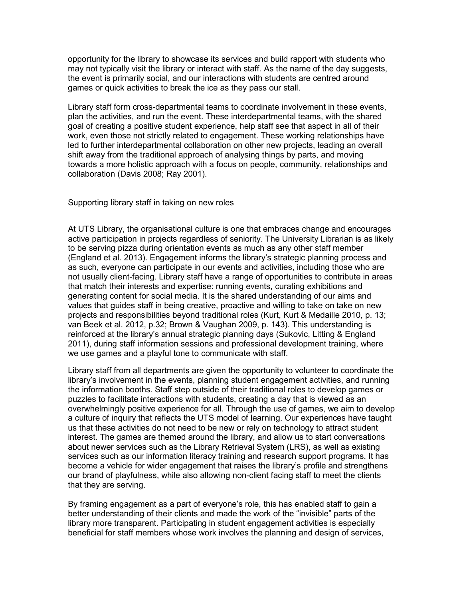opportunity for the library to showcase its services and build rapport with students who may not typically visit the library or interact with staff. As the name of the day suggests, the event is primarily social, and our interactions with students are centred around games or quick activities to break the ice as they pass our stall.

Library staff form cross-departmental teams to coordinate involvement in these events, plan the activities, and run the event. These interdepartmental teams, with the shared goal of creating a positive student experience, help staff see that aspect in all of their work, even those not strictly related to engagement. These working relationships have led to further interdepartmental collaboration on other new projects, leading an overall shift away from the traditional approach of analysing things by parts, and moving towards a more holistic approach with a focus on people, community, relationships and collaboration (Davis 2008; Ray 2001).

Supporting library staff in taking on new roles

At UTS Library, the organisational culture is one that embraces change and encourages active participation in projects regardless of seniority. The University Librarian is as likely to be serving pizza during orientation events as much as any other staff member (England et al. 2013). Engagement informs the library's strategic planning process and as such, everyone can participate in our events and activities, including those who are not usually client-facing. Library staff have a range of opportunities to contribute in areas that match their interests and expertise: running events, curating exhibitions and generating content for social media. It is the shared understanding of our aims and values that guides staff in being creative, proactive and willing to take on take on new projects and responsibilities beyond traditional roles (Kurt, Kurt & Medaille 2010, p. 13; van Beek et al. 2012, p.32; Brown & Vaughan 2009, p. 143). This understanding is reinforced at the library's annual strategic planning days (Sukovic, Litting & England 2011), during staff information sessions and professional development training, where we use games and a playful tone to communicate with staff.

Library staff from all departments are given the opportunity to volunteer to coordinate the library's involvement in the events, planning student engagement activities, and running the information booths. Staff step outside of their traditional roles to develop games or puzzles to facilitate interactions with students, creating a day that is viewed as an overwhelmingly positive experience for all. Through the use of games, we aim to develop a culture of inquiry that reflects the UTS model of learning. Our experiences have taught us that these activities do not need to be new or rely on technology to attract student interest. The games are themed around the library, and allow us to start conversations about newer services such as the Library Retrieval System (LRS), as well as existing services such as our information literacy training and research support programs. It has become a vehicle for wider engagement that raises the library's profile and strengthens our brand of playfulness, while also allowing non-client facing staff to meet the clients that they are serving.

By framing engagement as a part of everyone's role, this has enabled staff to gain a better understanding of their clients and made the work of the "invisible" parts of the library more transparent. Participating in student engagement activities is especially beneficial for staff members whose work involves the planning and design of services,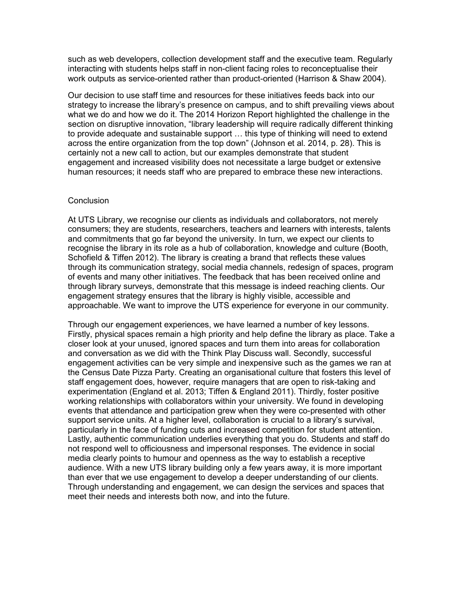such as web developers, collection development staff and the executive team. Regularly interacting with students helps staff in non-client facing roles to reconceptualise their work outputs as service-oriented rather than product-oriented (Harrison & Shaw 2004).

Our decision to use staff time and resources for these initiatives feeds back into our strategy to increase the library's presence on campus, and to shift prevailing views about what we do and how we do it. The 2014 Horizon Report highlighted the challenge in the section on disruptive innovation, "library leadership will require radically different thinking to provide adequate and sustainable support … this type of thinking will need to extend across the entire organization from the top down" (Johnson et al. 2014, p. 28). This is certainly not a new call to action, but our examples demonstrate that student engagement and increased visibility does not necessitate a large budget or extensive human resources; it needs staff who are prepared to embrace these new interactions.

#### **Conclusion**

At UTS Library, we recognise our clients as individuals and collaborators, not merely consumers; they are students, researchers, teachers and learners with interests, talents and commitments that go far beyond the university. In turn, we expect our clients to recognise the library in its role as a hub of collaboration, knowledge and culture (Booth, Schofield & Tiffen 2012). The library is creating a brand that reflects these values through its communication strategy, social media channels, redesign of spaces, program of events and many other initiatives. The feedback that has been received online and through library surveys, demonstrate that this message is indeed reaching clients. Our engagement strategy ensures that the library is highly visible, accessible and approachable. We want to improve the UTS experience for everyone in our community.

Through our engagement experiences, we have learned a number of key lessons. Firstly, physical spaces remain a high priority and help define the library as place. Take a closer look at your unused, ignored spaces and turn them into areas for collaboration and conversation as we did with the Think Play Discuss wall. Secondly, successful engagement activities can be very simple and inexpensive such as the games we ran at the Census Date Pizza Party. Creating an organisational culture that fosters this level of staff engagement does, however, require managers that are open to risk-taking and experimentation (England et al. 2013; Tiffen & England 2011). Thirdly, foster positive working relationships with collaborators within your university. We found in developing events that attendance and participation grew when they were co-presented with other support service units. At a higher level, collaboration is crucial to a library's survival, particularly in the face of funding cuts and increased competition for student attention. Lastly, authentic communication underlies everything that you do. Students and staff do not respond well to officiousness and impersonal responses. The evidence in social media clearly points to humour and openness as the way to establish a receptive audience. With a new UTS library building only a few years away, it is more important than ever that we use engagement to develop a deeper understanding of our clients. Through understanding and engagement, we can design the services and spaces that meet their needs and interests both now, and into the future.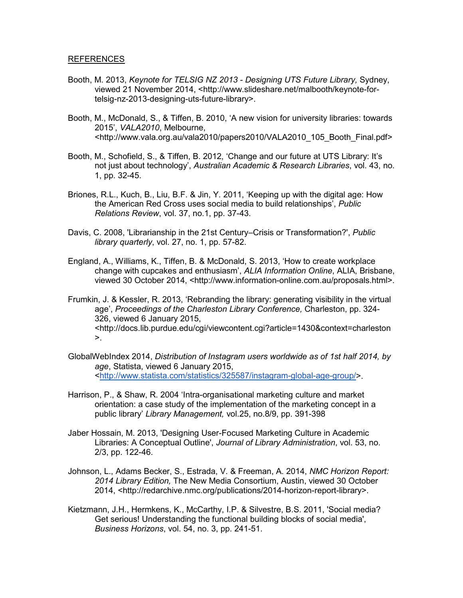#### REFERENCES

- Booth, M. 2013, *Keynote for TELSIG NZ 2013 - Designing UTS Future Library,* Sydney, viewed 21 November 2014, [<http://www.slideshare.net/malbooth/keynote-for](http://www.slideshare.net/malbooth/keynote-for-telsig-nz-2013-designing-uts-future-library)[telsig-nz-2013-designing-uts-future-library>](http://www.slideshare.net/malbooth/keynote-for-telsig-nz-2013-designing-uts-future-library).
- Booth, M., McDonald, S., & Tiffen, B. 2010, 'A new vision for university libraries: towards 2015', *VALA2010*, Melbourne, <http://www.vala.org.au/vala2010/papers2010/VALA2010\_105\_Booth\_Final.pdf>
- Booth, M., Schofield, S., & Tiffen, B. 2012, 'Change and our future at UTS Library: It's not just about technology', *Australian Academic & Research Libraries*, vol. 43, no. 1, pp. 32-45.
- Briones, R.L., Kuch, B., Liu, B.F. & Jin, Y. 2011, 'Keeping up with the digital age: How the American Red Cross uses social media to build relationships', *Public Relations Review*, vol. 37, no.1, pp. 37-43.
- Davis, C. 2008, 'Librarianship in the 21st Century–Crisis or Transformation?', *Public library quarterly*, vol. 27, no. 1, pp. 57-82.
- England, A., Williams, K., Tiffen, B. & McDonald, S. 2013, 'How to create workplace change with cupcakes and enthusiasm', *ALIA Information Online*, ALIA, Brisbane, viewed 30 October 2014, <http://www.information-online.com.au/proposals.html>.
- Frumkin, J. & Kessler, R. 2013, 'Rebranding the library: generating visibility in the virtual age', *Proceedings of the Charleston Library Conference,* Charleston, pp. 324- 326, viewed 6 January 2015, <http://docs.lib.purdue.edu/cgi/viewcontent.cgi?article=1430&context=charleston  $>_{\sim}$
- GlobalWebIndex 2014, *Distribution of Instagram users worldwide as of 1st half 2014, by age*, Statista, viewed 6 January 2015, [<http://www.statista.com/statistics/325587/instagram-global-age-group/>](http://www.statista.com/statistics/325587/instagram-global-age-group/).
- Harrison, P., & Shaw, R. 2004 'Intra-organisational marketing culture and market orientation: a case study of the implementation of the marketing concept in a public library' *Library Management,* vol.25, no.8/9, pp. 391-398
- Jaber Hossain, M. 2013, 'Designing User-Focused Marketing Culture in Academic Libraries: A Conceptual Outline', *Journal of Library Administration*, vol. 53, no. 2/3, pp. 122-46.
- Johnson, L., Adams Becker, S., Estrada, V. & Freeman, A. 2014, *NMC Horizon Report: 2014 Library Edition,* The New Media Consortium, Austin, viewed 30 October 2014, <http://redarchive.nmc.org/publications/2014-horizon-report-library>.
- Kietzmann, J.H., Hermkens, K., McCarthy, I.P. & Silvestre, B.S. 2011, 'Social media? Get serious! Understanding the functional building blocks of social media', *Business Horizons*, vol. 54, no. 3, pp. 241-51.